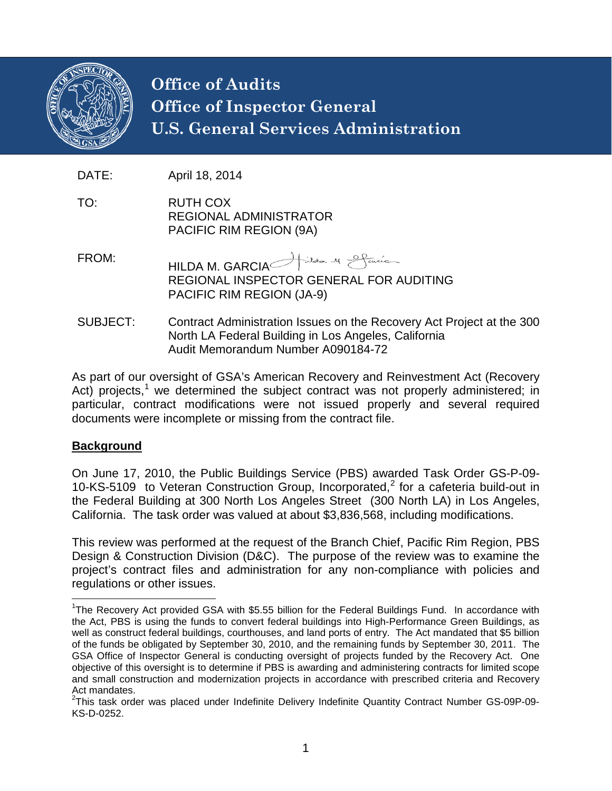

# **Office of Audits Office of Inspector General U.S. General Services Administration**

DATE: April 18, 2014

- TO: RUTH COX REGIONAL ADMINISTRATOR PACIFIC RIM REGION (9A)
- FROM: HILDA M. GARCIA Adal M Sancia REGIONAL INSPECTOR GENERAL FOR AUDITING PACIFIC RIM REGION (JA-9)
- SUBJECT: Contract Administration Issues on the Recovery Act Project at the 300 North LA Federal Building in Los Angeles, California Audit Memorandum Number A090184-72

As part of our oversight of GSA's American Recovery and Reinvestment Act (Recovery Act) projects,<sup>[1](#page-0-0)</sup> we determined the subject contract was not properly administered; in particular, contract modifications were not issued properly and several required documents were incomplete or missing from the contract file.

#### **Background**

On June 17, 2010, the Public Buildings Service (PBS) awarded Task Order GS-P-09- 10-KS-5109 to Veteran Construction Group, Incorporated, [2](#page-0-1) for a cafeteria build-out in the Federal Building at 300 North Los Angeles Street (300 North LA) in Los Angeles, California. The task order was valued at about \$3,836,568, including modifications.

This review was performed at the request of the Branch Chief, Pacific Rim Region, PBS Design & Construction Division (D&C). The purpose of the review was to examine the project's contract files and administration for any non-compliance with policies and regulations or other issues.

<span id="page-0-0"></span>1 The Recovery Act provided GSA with \$5.55 billion for the Federal Buildings Fund. In accordance with the Act, PBS is using the funds to convert federal buildings into High-Performance Green Buildings, as well as construct federal buildings, courthouses, and land ports of entry. The Act mandated that \$5 billion of the funds be obligated by September 30, 2010, and the remaining funds by September 30, 2011. The GSA Office of Inspector General is conducting oversight of projects funded by the Recovery Act. One objective of this oversight is to determine if PBS is awarding and administering contracts for limited scope and small construction and modernization projects in accordance with prescribed criteria and Recovery Act mandates.

<span id="page-0-1"></span><sup>&</sup>lt;sup>2</sup>This task order was placed under Indefinite Delivery Indefinite Quantity Contract Number GS-09P-09-KS-D-0252.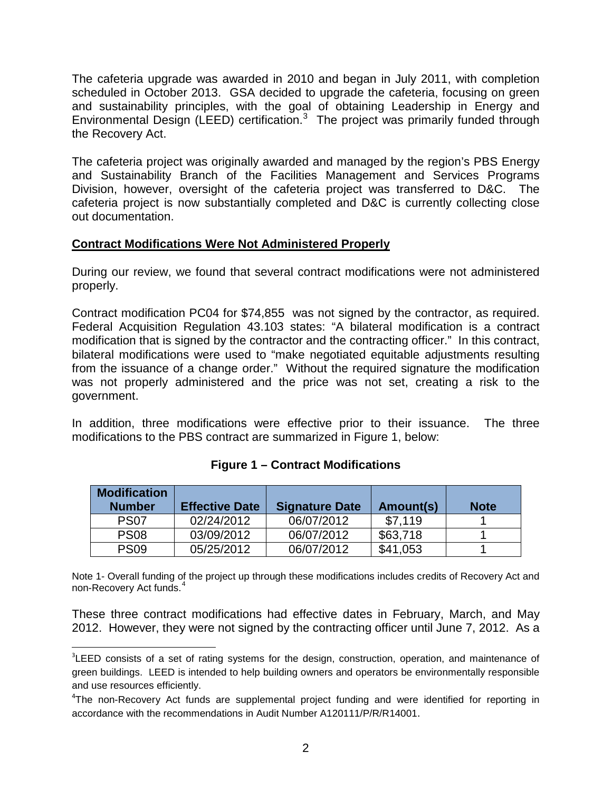The cafeteria upgrade was awarded in 2010 and began in July 2011, with completion scheduled in October 2013. GSA decided to upgrade the cafeteria, focusing on green and sustainability principles, with the goal of obtaining Leadership in Energy and Environmental Design (LEED) certification.[3](#page-1-0) The project was primarily funded through the Recovery Act.

The cafeteria project was originally awarded and managed by the region's PBS Energy and Sustainability Branch of the Facilities Management and Services Programs Division, however, oversight of the cafeteria project was transferred to D&C. The cafeteria project is now substantially completed and D&C is currently collecting close out documentation.

### **Contract Modifications Were Not Administered Properly**

During our review, we found that several contract modifications were not administered properly.

Contract modification PC04 for \$74,855 was not signed by the contractor, as required. Federal Acquisition Regulation 43.103 states: "A bilateral modification is a contract modification that is signed by the contractor and the contracting officer." In this contract, bilateral modifications were used to "make negotiated equitable adjustments resulting from the issuance of a change order." Without the required signature the modification was not properly administered and the price was not set, creating a risk to the government.

In addition, three modifications were effective prior to their issuance. The three modifications to the PBS contract are summarized in Figure 1, below:

| <b>Modification</b><br><b>Number</b> | <b>Effective Date</b> | <b>Signature Date</b> | Amount(s) | <b>Note</b> |
|--------------------------------------|-----------------------|-----------------------|-----------|-------------|
| <b>PS07</b>                          | 02/24/2012            | 06/07/2012            | \$7.119   |             |
| <b>PS08</b>                          | 03/09/2012            | 06/07/2012            | \$63,718  |             |
| <b>PS09</b>                          | 05/25/2012            | 06/07/2012            | \$41,053  |             |

#### **Figure 1 – Contract Modifications**

Note 1- Overall funding of the project up through these modifications includes credits of Recovery Act and non-Recovery Act funds.<sup>[4](#page-1-1)</sup>

These three contract modifications had effective dates in February, March, and May 2012. However, they were not signed by the contracting officer until June 7, 2012. As a

<span id="page-1-0"></span><sup>-&</sup>lt;br>3 <sup>3</sup>LEED consists of a set of rating systems for the design, construction, operation, and maintenance of green buildings. LEED is intended to help building owners and operators be environmentally responsible and use resources efficiently.

<span id="page-1-1"></span><sup>&</sup>lt;sup>4</sup>The non-Recovery Act funds are supplemental project funding and were identified for reporting in accordance with the recommendations in Audit Number A120111/P/R/R14001.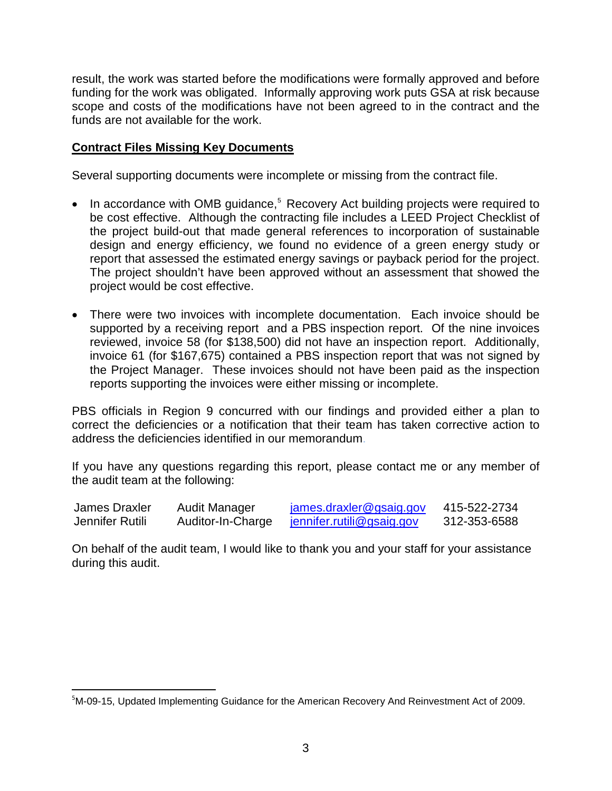result, the work was started before the modifications were formally approved and before funding for the work was obligated. Informally approving work puts GSA at risk because scope and costs of the modifications have not been agreed to in the contract and the funds are not available for the work.

## **Contract Files Missing Key Documents**

Several supporting documents were incomplete or missing from the contract file.

- In accordance with OMB guidance,<sup>[5](#page-2-0)</sup> Recovery Act building projects were required to be cost effective. Although the contracting file includes a LEED Project Checklist of the project build-out that made general references to incorporation of sustainable design and energy efficiency, we found no evidence of a green energy study or report that assessed the estimated energy savings or payback period for the project. The project shouldn't have been approved without an assessment that showed the project would be cost effective.
- There were two invoices with incomplete documentation. Each invoice should be supported by a receiving report and a PBS inspection report. Of the nine invoices reviewed, invoice 58 (for \$138,500) did not have an inspection report. Additionally, invoice 61 (for \$167,675) contained a PBS inspection report that was not signed by the Project Manager. These invoices should not have been paid as the inspection reports supporting the invoices were either missing or incomplete.

PBS officials in Region 9 concurred with our findings and provided either a plan to correct the deficiencies or a notification that their team has taken corrective action to address the deficiencies identified in our memorandum.

If you have any questions regarding this report, please contact me or any member of the audit team at the following:

| James Draxler   | Audit Manager     | james.draxler@gsaig.gov          | 415-522-2734 |
|-----------------|-------------------|----------------------------------|--------------|
| Jennifer Rutili | Auditor-In-Charge | <u>jennifer.rutili@gsaig.gov</u> | 312-353-6588 |

On behalf of the audit team, I would like to thank you and your staff for your assistance during this audit.

<span id="page-2-0"></span><sup>-&</sup>lt;br>5  $5$ M-09-15, Updated Implementing Guidance for the American Recovery And Reinvestment Act of 2009.